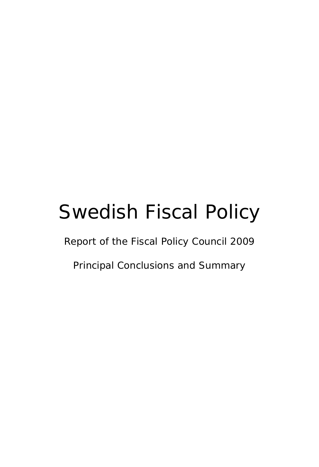# Swedish Fiscal Policy

Report of the Fiscal Policy Council 2009

Principal Conclusions and Summary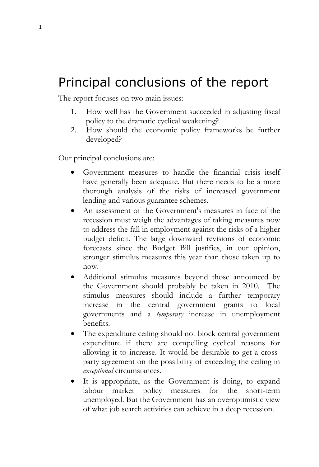# Principal conclusions of the report

The report focuses on two main issues:

- 1. How well has the Government succeeded in adjusting fiscal policy to the dramatic cyclical weakening?
- 2. How should the economic policy frameworks be further developed?

Our principal conclusions are:

- Government measures to handle the financial crisis itself have generally been adequate. But there needs to be a more thorough analysis of the risks of increased government lending and various guarantee schemes.
- An assessment of the Government's measures in face of the recession must weigh the advantages of taking measures now to address the fall in employment against the risks of a higher budget deficit. The large downward revisions of economic forecasts since the Budget Bill justifies, in our opinion, stronger stimulus measures this year than those taken up to now.
- Additional stimulus measures beyond those announced by the Government should probably be taken in 2010. The stimulus measures should include a further temporary increase in the central government grants to local governments and a *temporary* increase in unemployment benefits.
- The expenditure ceiling should not block central government expenditure if there are compelling cyclical reasons for allowing it to increase. It would be desirable to get a crossparty agreement on the possibility of exceeding the ceiling in *exceptional* circumstances.
- It is appropriate, as the Government is doing, to expand labour market policy measures for the short-term unemployed. But the Government has an overoptimistic view of what job search activities can achieve in a deep recession.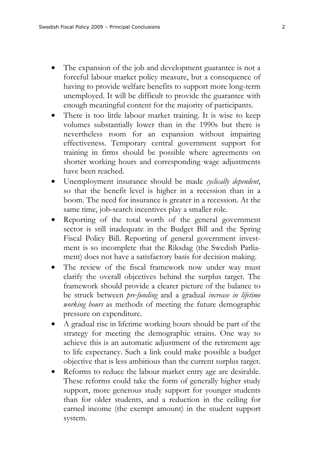- The expansion of the job and development guarantee is not a forceful labour market policy measure, but a consequence of having to provide welfare benefits to support more long-term unemployed. It will be difficult to provide the guarantee with enough meaningful content for the majority of participants.
- There is too little labour market training. It is wise to keep volumes substantially lower than in the 1990s but there is nevertheless room for an expansion without impairing effectiveness. Temporary central government support for training in firms should be possible where agreements on shorter working hours and corresponding wage adjustments have been reached.
- Unemployment insurance should be made *cyclically dependent*, so that the benefit level is higher in a recession than in a boom. The need for insurance is greater in a recession. At the same time, job-search incentives play a smaller role.
- Reporting of the total worth of the general government sector is still inadequate in the Budget Bill and the Spring Fiscal Policy Bill. Reporting of general government investment is so incomplete that the Riksdag (the Swedish Parliament) does not have a satisfactory basis for decision making.
- The review of the fiscal framework now under way must clarify the overall objectives behind the surplus target. The framework should provide a clearer picture of the balance to be struck between *pre-funding* and a gradual *increase in lifetime working hours* as methods of meeting the future demographic pressure on expenditure.
- A gradual rise in lifetime working hours should be part of the strategy for meeting the demographic strains. One way to achieve this is an automatic adjustment of the retirement age to life expectancy. Such a link could make possible a budget objective that is less ambitious than the current surplus target.
- Reforms to reduce the labour market entry age are desirable. These reforms could take the form of generally higher study support, more generous study support for younger students than for older students, and a reduction in the ceiling for earned income (the exempt amount) in the student support system.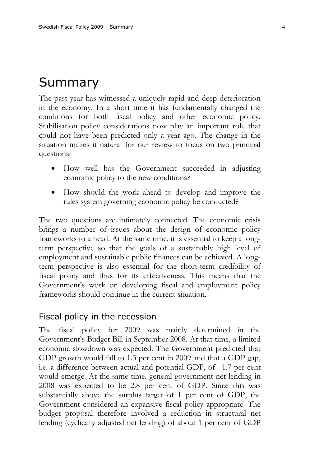# Summary

The past year has witnessed a uniquely rapid and deep deterioration in the economy. In a short time it has fundamentally changed the conditions for both fiscal policy and other economic policy. Stabilisation policy considerations now play an important role that could not have been predicted only a year ago. The change in the situation makes it natural for our review to focus on two principal questions:

- How well has the Government succeeded in adjusting economic policy to the new conditions?
- How should the work ahead to develop and improve the rules system governing economic policy be conducted?

The two questions are intimately connected. The economic crisis brings a number of issues about the design of economic policy frameworks to a head. At the same time, it is essential to keep a longterm perspective so that the goals of a sustainably high level of employment and sustainable public finances can be achieved. A longterm perspective is also essential for the short-term credibility of fiscal policy and thus for its effectiveness. This means that the Government's work on developing fiscal and employment policy frameworks should continue in the current situation.

### Fiscal policy in the recession

The fiscal policy for 2009 was mainly determined in the Government's Budget Bill in September 2008. At that time, a limited economic slowdown was expected. The Government predicted that GDP growth would fall to 1.3 per cent in 2009 and that a GDP gap, i.e. a difference between actual and potential GDP, of –1.7 per cent would emerge. At the same time, general government net lending in 2008 was expected to be 2.8 per cent of GDP. Since this was substantially above the surplus target of 1 per cent of GDP, the Government considered an expansive fiscal policy appropriate. The budget proposal therefore involved a reduction in structural net lending (cyclically adjusted net lending) of about 1 per cent of GDP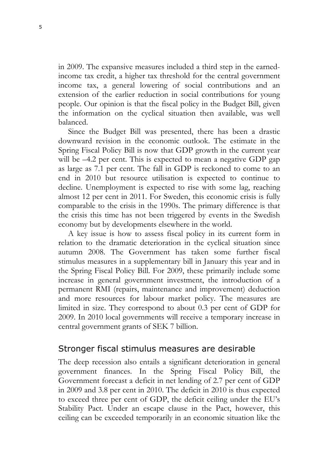in 2009. The expansive measures included a third step in the earnedincome tax credit, a higher tax threshold for the central government income tax, a general lowering of social contributions and an extension of the earlier reduction in social contributions for young people. Our opinion is that the fiscal policy in the Budget Bill, given the information on the cyclical situation then available, was well balanced.

Since the Budget Bill was presented, there has been a drastic downward revision in the economic outlook. The estimate in the Spring Fiscal Policy Bill is now that GDP growth in the current year will be –4.2 per cent. This is expected to mean a negative GDP gap as large as 7.1 per cent. The fall in GDP is reckoned to come to an end in 2010 but resource utilisation is expected to continue to decline. Unemployment is expected to rise with some lag, reaching almost 12 per cent in 2011. For Sweden, this economic crisis is fully comparable to the crisis in the 1990s. The primary difference is that the crisis this time has not been triggered by events in the Swedish economy but by developments elsewhere in the world.

A key issue is how to assess fiscal policy in its current form in relation to the dramatic deterioration in the cyclical situation since autumn 2008. The Government has taken some further fiscal stimulus measures in a supplementary bill in January this year and in the Spring Fiscal Policy Bill. For 2009, these primarily include some increase in general government investment, the introduction of a permanent RMI (repairs, maintenance and improvement) deduction and more resources for labour market policy. The measures are limited in size. They correspond to about 0.3 per cent of GDP for 2009. In 2010 local governments will receive a temporary increase in central government grants of SEK 7 billion.

## Stronger fiscal stimulus measures are desirable

The deep recession also entails a significant deterioration in general government finances. In the Spring Fiscal Policy Bill, the Government forecast a deficit in net lending of 2.7 per cent of GDP in 2009 and 3.8 per cent in 2010. The deficit in 2010 is thus expected to exceed three per cent of GDP, the deficit ceiling under the EU's Stability Pact. Under an escape clause in the Pact, however, this ceiling can be exceeded temporarily in an economic situation like the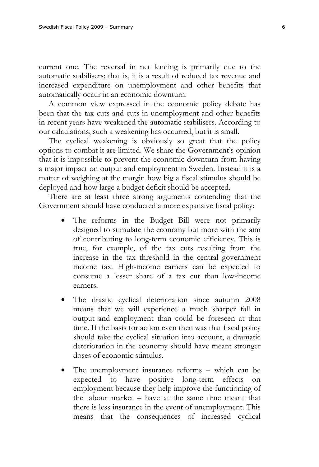current one. The reversal in net lending is primarily due to the automatic stabilisers; that is, it is a result of reduced tax revenue and increased expenditure on unemployment and other benefits that automatically occur in an economic downturn.

A common view expressed in the economic policy debate has been that the tax cuts and cuts in unemployment and other benefits in recent years have weakened the automatic stabilisers. According to our calculations, such a weakening has occurred, but it is small.

The cyclical weakening is obviously so great that the policy options to combat it are limited. We share the Government's opinion that it is impossible to prevent the economic downturn from having a major impact on output and employment in Sweden. Instead it is a matter of weighing at the margin how big a fiscal stimulus should be deployed and how large a budget deficit should be accepted.

There are at least three strong arguments contending that the Government should have conducted a more expansive fiscal policy:

- The reforms in the Budget Bill were not primarily designed to stimulate the economy but more with the aim of contributing to long-term economic efficiency. This is true, for example, of the tax cuts resulting from the increase in the tax threshold in the central government income tax. High-income earners can be expected to consume a lesser share of a tax cut than low-income earners.
- The drastic cyclical deterioration since autumn 2008 means that we will experience a much sharper fall in output and employment than could be foreseen at that time. If the basis for action even then was that fiscal policy should take the cyclical situation into account, a dramatic deterioration in the economy should have meant stronger doses of economic stimulus.
- The unemployment insurance reforms which can be expected to have positive long-term effects on employment because they help improve the functioning of the labour market – have at the same time meant that there is less insurance in the event of unemployment. This means that the consequences of increased cyclical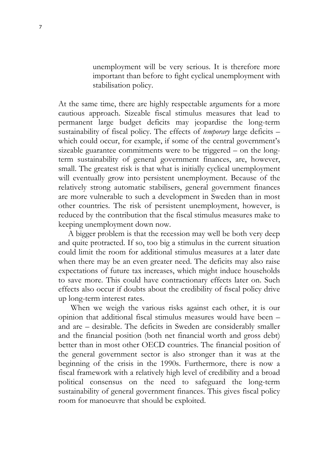unemployment will be very serious. It is therefore more important than before to fight cyclical unemployment with stabilisation policy.

At the same time, there are highly respectable arguments for a more cautious approach. Sizeable fiscal stimulus measures that lead to permanent large budget deficits may jeopardise the long-term sustainability of fiscal policy. The effects of *temporary* large deficits – which could occur, for example, if some of the central government's sizeable guarantee commitments were to be triggered – on the longterm sustainability of general government finances, are, however, small. The greatest risk is that what is initially cyclical unemployment will eventually grow into persistent unemployment. Because of the relatively strong automatic stabilisers, general government finances are more vulnerable to such a development in Sweden than in most other countries. The risk of persistent unemployment, however, is reduced by the contribution that the fiscal stimulus measures make to keeping unemployment down now.

A bigger problem is that the recession may well be both very deep and quite protracted. If so, too big a stimulus in the current situation could limit the room for additional stimulus measures at a later date when there may be an even greater need. The deficits may also raise expectations of future tax increases, which might induce households to save more. This could have contractionary effects later on. Such effects also occur if doubts about the credibility of fiscal policy drive up long-term interest rates.

When we weigh the various risks against each other, it is our opinion that additional fiscal stimulus measures would have been – and are – desirable. The deficits in Sweden are considerably smaller and the financial position (both net financial worth and gross debt) better than in most other OECD countries. The financial position of the general government sector is also stronger than it was at the beginning of the crisis in the 1990s. Furthermore, there is now a fiscal framework with a relatively high level of credibility and a broad political consensus on the need to safeguard the long-term sustainability of general government finances. This gives fiscal policy room for manoeuvre that should be exploited.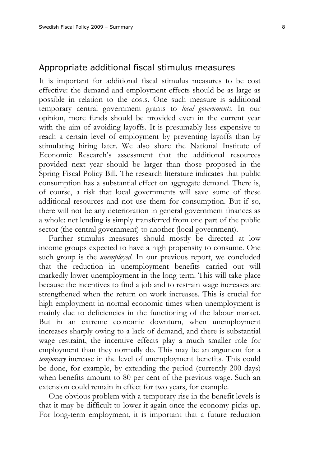#### Appropriate additional fiscal stimulus measures

It is important for additional fiscal stimulus measures to be cost effective: the demand and employment effects should be as large as possible in relation to the costs. One such measure is additional temporary central government grants to *local governments*. In our opinion, more funds should be provided even in the current year with the aim of avoiding layoffs. It is presumably less expensive to reach a certain level of employment by preventing layoffs than by stimulating hiring later. We also share the National Institute of Economic Research's assessment that the additional resources provided next year should be larger than those proposed in the Spring Fiscal Policy Bill. The research literature indicates that public consumption has a substantial effect on aggregate demand. There is, of course, a risk that local governments will save some of these additional resources and not use them for consumption. But if so, there will not be any deterioration in general government finances as a whole: net lending is simply transferred from one part of the public sector (the central government) to another (local government).

Further stimulus measures should mostly be directed at low income groups expected to have a high propensity to consume. One such group is the *unemployed*. In our previous report, we concluded that the reduction in unemployment benefits carried out will markedly lower unemployment in the long term. This will take place because the incentives to find a job and to restrain wage increases are strengthened when the return on work increases. This is crucial for high employment in normal economic times when unemployment is mainly due to deficiencies in the functioning of the labour market. But in an extreme economic downturn, when unemployment increases sharply owing to a lack of demand, and there is substantial wage restraint, the incentive effects play a much smaller role for employment than they normally do. This may be an argument for a *temporary* increase in the level of unemployment benefits*.* This could be done, for example, by extending the period (currently 200 days) when benefits amount to 80 per cent of the previous wage. Such an extension could remain in effect for two years, for example.

One obvious problem with a temporary rise in the benefit levels is that it may be difficult to lower it again once the economy picks up. For long-term employment, it is important that a future reduction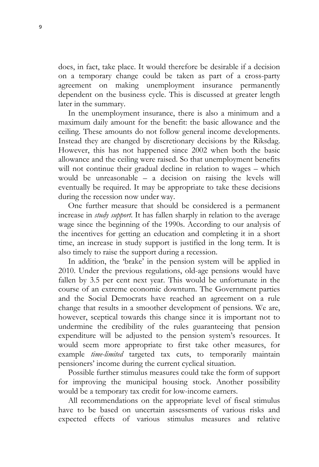does, in fact, take place. It would therefore be desirable if a decision on a temporary change could be taken as part of a cross-party agreement on making unemployment insurance permanently dependent on the business cycle. This is discussed at greater length later in the summary.

In the unemployment insurance, there is also a minimum and a maximum daily amount for the benefit: the basic allowance and the ceiling. These amounts do not follow general income developments. Instead they are changed by discretionary decisions by the Riksdag. However, this has not happened since 2002 when both the basic allowance and the ceiling were raised. So that unemployment benefits will not continue their gradual decline in relation to wages – which would be unreasonable – a decision on raising the levels will eventually be required. It may be appropriate to take these decisions during the recession now under way.

One further measure that should be considered is a permanent increase in *study support*. It has fallen sharply in relation to the average wage since the beginning of the 1990s. According to our analysis of the incentives for getting an education and completing it in a short time, an increase in study support is justified in the long term. It is also timely to raise the support during a recession.

In addition, the 'brake' in the pension system will be applied in 2010. Under the previous regulations, old-age pensions would have fallen by 3.5 per cent next year. This would be unfortunate in the course of an extreme economic downturn. The Government parties and the Social Democrats have reached an agreement on a rule change that results in a smoother development of pensions. We are, however, sceptical towards this change since it is important not to undermine the credibility of the rules guaranteeing that pension expenditure will be adjusted to the pension system's resources. It would seem more appropriate to first take other measures, for example *time-limited* targeted tax cuts, to temporarily maintain pensioners' income during the current cyclical situation.

Possible further stimulus measures could take the form of support for improving the municipal housing stock. Another possibility would be a temporary tax credit for low-income earners.

All recommendations on the appropriate level of fiscal stimulus have to be based on uncertain assessments of various risks and expected effects of various stimulus measures and relative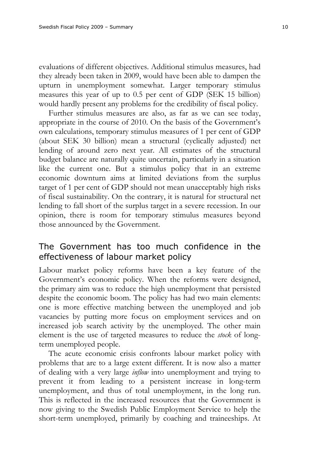evaluations of different objectives. Additional stimulus measures, had they already been taken in 2009, would have been able to dampen the upturn in unemployment somewhat. Larger temporary stimulus measures this year of up to 0.5 per cent of GDP (SEK 15 billion) would hardly present any problems for the credibility of fiscal policy.

Further stimulus measures are also, as far as we can see today, appropriate in the course of 2010. On the basis of the Government's own calculations, temporary stimulus measures of 1 per cent of GDP (about SEK 30 billion) mean a structural (cyclically adjusted) net lending of around zero next year. All estimates of the structural budget balance are naturally quite uncertain, particularly in a situation like the current one. But a stimulus policy that in an extreme economic downturn aims at limited deviations from the surplus target of 1 per cent of GDP should not mean unacceptably high risks of fiscal sustainability. On the contrary, it is natural for structural net lending to fall short of the surplus target in a severe recession. In our opinion, there is room for temporary stimulus measures beyond those announced by the Government.

# The Government has too much confidence in the effectiveness of labour market policy

Labour market policy reforms have been a key feature of the Government's economic policy. When the reforms were designed, the primary aim was to reduce the high unemployment that persisted despite the economic boom. The policy has had two main elements: one is more effective matching between the unemployed and job vacancies by putting more focus on employment services and on increased job search activity by the unemployed. The other main element is the use of targeted measures to reduce the *stock* of longterm unemployed people.

The acute economic crisis confronts labour market policy with problems that are to a large extent different. It is now also a matter of dealing with a very large *inflow* into unemployment and trying to prevent it from leading to a persistent increase in long-term unemployment, and thus of total unemployment, in the long run. This is reflected in the increased resources that the Government is now giving to the Swedish Public Employment Service to help the short-term unemployed, primarily by coaching and traineeships. At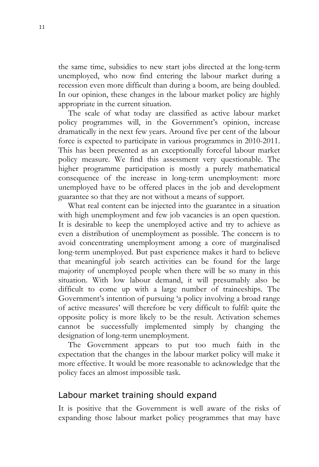the same time, subsidies to new start jobs directed at the long-term unemployed, who now find entering the labour market during a recession even more difficult than during a boom, are being doubled. In our opinion, these changes in the labour market policy are highly appropriate in the current situation.

The scale of what today are classified as active labour market policy programmes will, in the Government's opinion, increase dramatically in the next few years. Around five per cent of the labour force is expected to participate in various programmes in 2010-2011. This has been presented as an exceptionally forceful labour market policy measure. We find this assessment very questionable. The higher programme participation is mostly a purely mathematical consequence of the increase in long-term unemployment: more unemployed have to be offered places in the job and development guarantee so that they are not without a means of support.

What real content can be injected into the guarantee in a situation with high unemployment and few job vacancies is an open question. It is desirable to keep the unemployed active and try to achieve as even a distribution of unemployment as possible. The concern is to avoid concentrating unemployment among a core of marginalised long-term unemployed. But past experience makes it hard to believe that meaningful job search activities can be found for the large majority of unemployed people when there will be so many in this situation. With low labour demand, it will presumably also be difficult to come up with a large number of traineeships. The Government's intention of pursuing 'a policy involving a broad range of active measures' will therefore be very difficult to fulfil: quite the opposite policy is more likely to be the result. Activation schemes cannot be successfully implemented simply by changing the designation of long-term unemployment.

The Government appears to put too much faith in the expectation that the changes in the labour market policy will make it more effective. It would be more reasonable to acknowledge that the policy faces an almost impossible task.

# Labour market training should expand

It is positive that the Government is well aware of the risks of expanding those labour market policy programmes that may have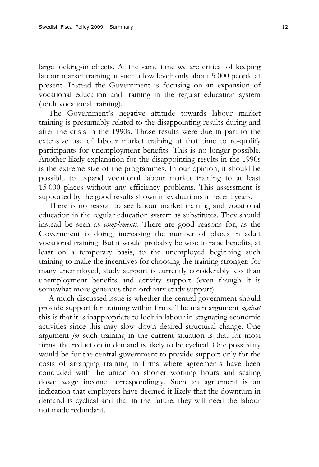large locking-in effects. At the same time we are critical of keeping labour market training at such a low level: only about 5 000 people at present. Instead the Government is focusing on an expansion of vocational education and training in the regular education system (adult vocational training).

The Government's negative attitude towards labour market training is presumably related to the disappointing results during and after the crisis in the 1990s. Those results were due in part to the extensive use of labour market training at that time to re-qualify participants for unemployment benefits. This is no longer possible. Another likely explanation for the disappointing results in the 1990s is the extreme size of the programmes. In our opinion, it should be possible to expand vocational labour market training to at least 15 000 places without any efficiency problems. This assessment is supported by the good results shown in evaluations in recent years.

There is no reason to see labour market training and vocational education in the regular education system as substitutes. They should instead be seen as *complements*. There are good reasons for, as the Government is doing, increasing the number of places in adult vocational training. But it would probably be wise to raise benefits, at least on a temporary basis, to the unemployed beginning such training to make the incentives for choosing the training stronger: for many unemployed, study support is currently considerably less than unemployment benefits and activity support (even though it is somewhat more generous than ordinary study support).

A much discussed issue is whether the central government should provide support for training within firms. The main argument *against* this is that it is inappropriate to lock in labour in stagnating economic activities since this may slow down desired structural change. One argument *for* such training in the current situation is that for most firms, the reduction in demand is likely to be cyclical. One possibility would be for the central government to provide support only for the costs of arranging training in firms where agreements have been concluded with the union on shorter working hours and scaling down wage income correspondingly. Such an agreement is an indication that employers have deemed it likely that the downturn in demand is cyclical and that in the future, they will need the labour not made redundant.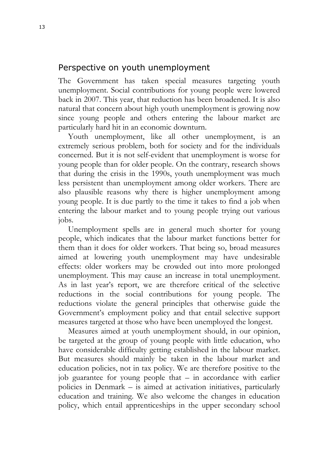# Perspective on youth unemployment

The Government has taken special measures targeting youth unemployment. Social contributions for young people were lowered back in 2007. This year, that reduction has been broadened. It is also natural that concern about high youth unemployment is growing now since young people and others entering the labour market are particularly hard hit in an economic downturn.

Youth unemployment, like all other unemployment, is an extremely serious problem, both for society and for the individuals concerned. But it is not self-evident that unemployment is worse for young people than for older people. On the contrary, research shows that during the crisis in the 1990s, youth unemployment was much less persistent than unemployment among older workers. There are also plausible reasons why there is higher unemployment among young people. It is due partly to the time it takes to find a job when entering the labour market and to young people trying out various jobs.

Unemployment spells are in general much shorter for young people, which indicates that the labour market functions better for them than it does for older workers. That being so, broad measures aimed at lowering youth unemployment may have undesirable effects: older workers may be crowded out into more prolonged unemployment. This may cause an increase in total unemployment. As in last year's report, we are therefore critical of the selective reductions in the social contributions for young people. The reductions violate the general principles that otherwise guide the Government's employment policy and that entail selective support measures targeted at those who have been unemployed the longest.

Measures aimed at youth unemployment should, in our opinion, be targeted at the group of young people with little education, who have considerable difficulty getting established in the labour market. But measures should mainly be taken in the labour market and education policies, not in tax policy. We are therefore positive to the job guarantee for young people that – in accordance with earlier policies in Denmark – is aimed at activation initiatives, particularly education and training. We also welcome the changes in education policy, which entail apprenticeships in the upper secondary school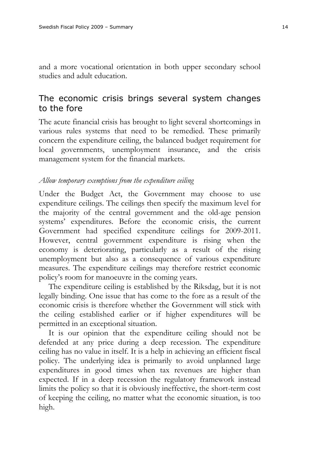and a more vocational orientation in both upper secondary school studies and adult education.

# The economic crisis brings several system changes to the fore

The acute financial crisis has brought to light several shortcomings in various rules systems that need to be remedied. These primarily concern the expenditure ceiling, the balanced budget requirement for local governments, unemployment insurance, and the crisis management system for the financial markets.

#### *Allow temporary exemptions from the expenditure ceiling*

Under the Budget Act, the Government may choose to use expenditure ceilings. The ceilings then specify the maximum level for the majority of the central government and the old-age pension systems' expenditures. Before the economic crisis, the current Government had specified expenditure ceilings for 2009-2011. However, central government expenditure is rising when the economy is deteriorating, particularly as a result of the rising unemployment but also as a consequence of various expenditure measures. The expenditure ceilings may therefore restrict economic policy's room for manoeuvre in the coming years.

The expenditure ceiling is established by the Riksdag, but it is not legally binding. One issue that has come to the fore as a result of the economic crisis is therefore whether the Government will stick with the ceiling established earlier or if higher expenditures will be permitted in an exceptional situation.

It is our opinion that the expenditure ceiling should not be defended at any price during a deep recession. The expenditure ceiling has no value in itself. It is a help in achieving an efficient fiscal policy. The underlying idea is primarily to avoid unplanned large expenditures in good times when tax revenues are higher than expected. If in a deep recession the regulatory framework instead limits the policy so that it is obviously ineffective, the short-term cost of keeping the ceiling, no matter what the economic situation, is too high.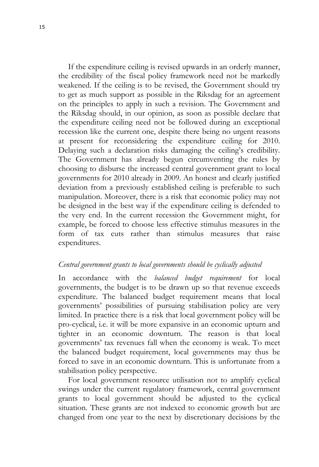If the expenditure ceiling is revised upwards in an orderly manner, the credibility of the fiscal policy framework need not be markedly weakened. If the ceiling is to be revised, the Government should try to get as much support as possible in the Riksdag for an agreement on the principles to apply in such a revision. The Government and the Riksdag should, in our opinion, as soon as possible declare that the expenditure ceiling need not be followed during an exceptional recession like the current one, despite there being no urgent reasons at present for reconsidering the expenditure ceiling for 2010. Delaying such a declaration risks damaging the ceiling's credibility. The Government has already begun circumventing the rules by choosing to disburse the increased central government grant to local governments for 2010 already in 2009. An honest and clearly justified deviation from a previously established ceiling is preferable to such manipulation. Moreover, there is a risk that economic policy may not be designed in the best way if the expenditure ceiling is defended to the very end. In the current recession the Government might, for example, be forced to choose less effective stimulus measures in the form of tax cuts rather than stimulus measures that raise expenditures.

#### *Central government grants to local governments should be cyclically adjusted*

In accordance with the *balanced budget requirement* for local governments, the budget is to be drawn up so that revenue exceeds expenditure. The balanced budget requirement means that local governments' possibilities of pursuing stabilisation policy are very limited. In practice there is a risk that local government policy will be pro-cyclical, i.e. it will be more expansive in an economic upturn and tighter in an economic downturn. The reason is that local governments' tax revenues fall when the economy is weak. To meet the balanced budget requirement, local governments may thus be forced to save in an economic downturn. This is unfortunate from a stabilisation policy perspective.

For local government resource utilisation not to amplify cyclical swings under the current regulatory framework, central government grants to local government should be adjusted to the cyclical situation. These grants are not indexed to economic growth but are changed from one year to the next by discretionary decisions by the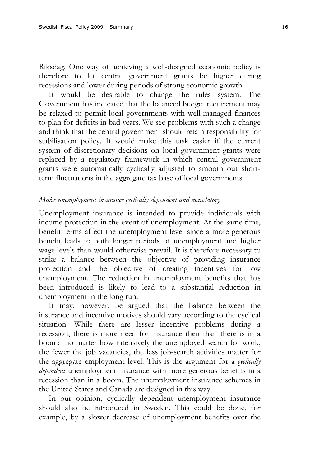Riksdag. One way of achieving a well-designed economic policy is therefore to let central government grants be higher during recessions and lower during periods of strong economic growth.

It would be desirable to change the rules system. The Government has indicated that the balanced budget requirement may be relaxed to permit local governments with well-managed finances to plan for deficits in bad years. We see problems with such a change and think that the central government should retain responsibility for stabilisation policy. It would make this task easier if the current system of discretionary decisions on local government grants were replaced by a regulatory framework in which central government grants were automatically cyclically adjusted to smooth out shortterm fluctuations in the aggregate tax base of local governments.

#### *Make unemployment insurance cyclically dependent and mandatory*

Unemployment insurance is intended to provide individuals with income protection in the event of unemployment. At the same time, benefit terms affect the unemployment level since a more generous benefit leads to both longer periods of unemployment and higher wage levels than would otherwise prevail. It is therefore necessary to strike a balance between the objective of providing insurance protection and the objective of creating incentives for low unemployment. The reduction in unemployment benefits that has been introduced is likely to lead to a substantial reduction in unemployment in the long run.

It may, however, be argued that the balance between the insurance and incentive motives should vary according to the cyclical situation. While there are lesser incentive problems during a recession, there is more need for insurance then than there is in a boom: no matter how intensively the unemployed search for work, the fewer the job vacancies, the less job-search activities matter for the aggregate employment level. This is the argument for a *cyclically dependent* unemployment insurance with more generous benefits in a recession than in a boom. The unemployment insurance schemes in the United States and Canada are designed in this way.

In our opinion, cyclically dependent unemployment insurance should also be introduced in Sweden. This could be done, for example, by a slower decrease of unemployment benefits over the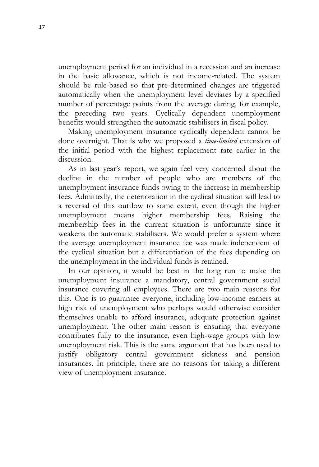unemployment period for an individual in a recession and an increase in the basic allowance, which is not income-related. The system should be rule-based so that pre-determined changes are triggered automatically when the unemployment level deviates by a specified number of percentage points from the average during, for example, the preceding two years. Cyclically dependent unemployment benefits would strengthen the automatic stabilisers in fiscal policy.

Making unemployment insurance cyclically dependent cannot be done overnight. That is why we proposed a *time-limited* extension of the initial period with the highest replacement rate earlier in the discussion.

As in last year's report, we again feel very concerned about the decline in the number of people who are members of the unemployment insurance funds owing to the increase in membership fees. Admittedly, the deterioration in the cyclical situation will lead to a reversal of this outflow to some extent, even though the higher unemployment means higher membership fees. Raising the membership fees in the current situation is unfortunate since it weakens the automatic stabilisers. We would prefer a system where the average unemployment insurance fee was made independent of the cyclical situation but a differentiation of the fees depending on the unemployment in the individual funds is retained.

In our opinion, it would be best in the long run to make the unemployment insurance a mandatory, central government social insurance covering all employees. There are two main reasons for this. One is to guarantee everyone, including low-income earners at high risk of unemployment who perhaps would otherwise consider themselves unable to afford insurance, adequate protection against unemployment. The other main reason is ensuring that everyone contributes fully to the insurance, even high-wage groups with low unemployment risk. This is the same argument that has been used to justify obligatory central government sickness and pension insurances. In principle, there are no reasons for taking a different view of unemployment insurance.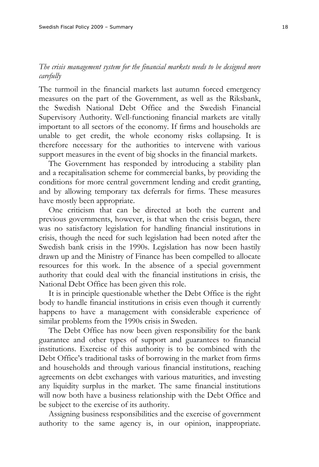## *The crisis management system for the financial markets needs to be designed more carefully*

The turmoil in the financial markets last autumn forced emergency measures on the part of the Government, as well as the Riksbank, the Swedish National Debt Office and the Swedish Financial Supervisory Authority. Well-functioning financial markets are vitally important to all sectors of the economy. If firms and households are unable to get credit, the whole economy risks collapsing. It is therefore necessary for the authorities to intervene with various support measures in the event of big shocks in the financial markets.

The Government has responded by introducing a stability plan and a recapitalisation scheme for commercial banks, by providing the conditions for more central government lending and credit granting, and by allowing temporary tax deferrals for firms. These measures have mostly been appropriate.

One criticism that can be directed at both the current and previous governments, however, is that when the crisis began, there was no satisfactory legislation for handling financial institutions in crisis, though the need for such legislation had been noted after the Swedish bank crisis in the 1990s. Legislation has now been hastily drawn up and the Ministry of Finance has been compelled to allocate resources for this work. In the absence of a special government authority that could deal with the financial institutions in crisis, the National Debt Office has been given this role.

It is in principle questionable whether the Debt Office is the right body to handle financial institutions in crisis even though it currently happens to have a management with considerable experience of similar problems from the 1990s crisis in Sweden.

The Debt Office has now been given responsibility for the bank guarantee and other types of support and guarantees to financial institutions. Exercise of this authority is to be combined with the Debt Office's traditional tasks of borrowing in the market from firms and households and through various financial institutions, reaching agreements on debt exchanges with various maturities, and investing any liquidity surplus in the market. The same financial institutions will now both have a business relationship with the Debt Office and be subject to the exercise of its authority.

Assigning business responsibilities and the exercise of government authority to the same agency is, in our opinion, inappropriate.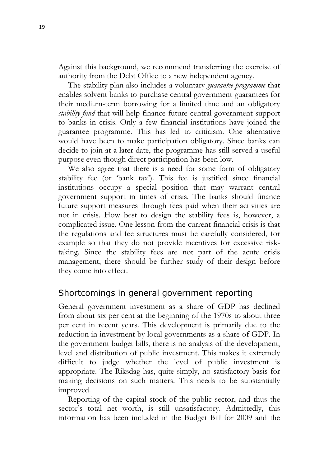Against this background, we recommend transferring the exercise of authority from the Debt Office to a new independent agency.

The stability plan also includes a voluntary *guarantee programme* that enables solvent banks to purchase central government guarantees for their medium-term borrowing for a limited time and an obligatory *stability fund* that will help finance future central government support to banks in crisis. Only a few financial institutions have joined the guarantee programme. This has led to criticism. One alternative would have been to make participation obligatory. Since banks can decide to join at a later date, the programme has still served a useful purpose even though direct participation has been low.

We also agree that there is a need for some form of obligatory stability fee (or 'bank tax'). This fee is justified since financial institutions occupy a special position that may warrant central government support in times of crisis. The banks should finance future support measures through fees paid when their activities are not in crisis. How best to design the stability fees is, however, a complicated issue. One lesson from the current financial crisis is that the regulations and fee structures must be carefully considered, for example so that they do not provide incentives for excessive risktaking. Since the stability fees are not part of the acute crisis management, there should be further study of their design before they come into effect.

# Shortcomings in general government reporting

General government investment as a share of GDP has declined from about six per cent at the beginning of the 1970s to about three per cent in recent years. This development is primarily due to the reduction in investment by local governments as a share of GDP. In the government budget bills, there is no analysis of the development, level and distribution of public investment. This makes it extremely difficult to judge whether the level of public investment is appropriate. The Riksdag has, quite simply, no satisfactory basis for making decisions on such matters. This needs to be substantially improved.

Reporting of the capital stock of the public sector, and thus the sector's total net worth, is still unsatisfactory. Admittedly, this information has been included in the Budget Bill for 2009 and the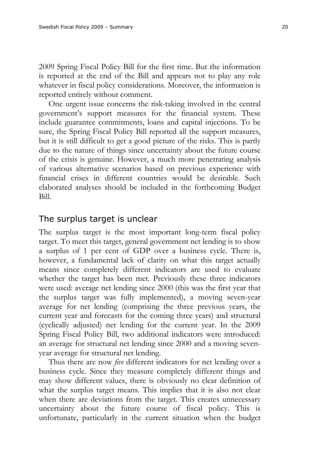2009 Spring Fiscal Policy Bill for the first time. But the information is reported at the end of the Bill and appears not to play any role whatever in fiscal policy considerations. Moreover, the information is reported entirely without comment.

One urgent issue concerns the risk-taking involved in the central government's support measures for the financial system. These include guarantee commitments, loans and capital injections. To be sure, the Spring Fiscal Policy Bill reported all the support measures, but it is still difficult to get a good picture of the risks. This is partly due to the nature of things since uncertainty about the future course of the crisis is genuine. However, a much more penetrating analysis of various alternative scenarios based on previous experience with financial crises in different countries would be desirable. Such elaborated analyses should be included in the forthcoming Budget Bill.

#### The surplus target is unclear

The surplus target is the most important long-term fiscal policy target. To meet this target, general government net lending is to show a surplus of 1 per cent of GDP over a business cycle. There is, however, a fundamental lack of clarity on what this target actually means since completely different indicators are used to evaluate whether the target has been met. Previously these three indicators were used: average net lending since 2000 (this was the first year that the surplus target was fully implemented), a moving seven-year average for net lending (comprising the three previous years, the current year and forecasts for the coming three years) and structural (cyclically adjusted) net lending for the current year. In the 2009 Spring Fiscal Policy Bill, two additional indicators were introduced: an average for structural net lending since 2000 and a moving sevenyear average for structural net lending.

Thus there are now *five* different indicators for net lending over a business cycle. Since they measure completely different things and may show different values, there is obviously no clear definition of what the surplus target means. This implies that it is also not clear when there are deviations from the target. This creates unnecessary uncertainty about the future course of fiscal policy. This is unfortunate, particularly in the current situation when the budget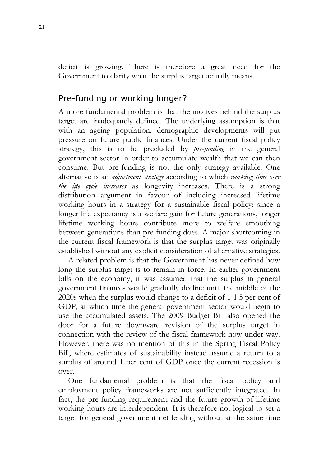deficit is growing. There is therefore a great need for the Government to clarify what the surplus target actually means.

# Pre-funding or working longer?

A more fundamental problem is that the motives behind the surplus target are inadequately defined. The underlying assumption is that with an ageing population, demographic developments will put pressure on future public finances. Under the current fiscal policy strategy, this is to be precluded by *pre-funding* in the general government sector in order to accumulate wealth that we can then consume. But pre-funding is not the only strategy available. One alternative is an *adjustment strategy* according to which *working time over the life cycle increases* as longevity increases. There is a strong distribution argument in favour of including increased lifetime working hours in a strategy for a sustainable fiscal policy: since a longer life expectancy is a welfare gain for future generations, longer lifetime working hours contribute more to welfare smoothing between generations than pre-funding does. A major shortcoming in the current fiscal framework is that the surplus target was originally established without any explicit consideration of alternative strategies.

A related problem is that the Government has never defined how long the surplus target is to remain in force. In earlier government bills on the economy, it was assumed that the surplus in general government finances would gradually decline until the middle of the 2020s when the surplus would change to a deficit of 1-1.5 per cent of GDP, at which time the general government sector would begin to use the accumulated assets. The 2009 Budget Bill also opened the door for a future downward revision of the surplus target in connection with the review of the fiscal framework now under way. However, there was no mention of this in the Spring Fiscal Policy Bill, where estimates of sustainability instead assume a return to a surplus of around 1 per cent of GDP once the current recession is over.

One fundamental problem is that the fiscal policy and employment policy frameworks are not sufficiently integrated. In fact, the pre-funding requirement and the future growth of lifetime working hours are interdependent. It is therefore not logical to set a target for general government net lending without at the same time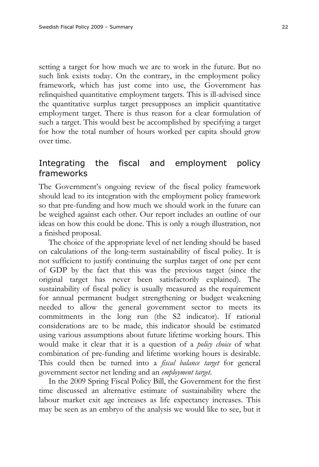setting a target for how much we are to work in the future. But no such link exists today. On the contrary, in the employment policy framework, which has just come into use, the Government has relinquished quantitative employment targets. This is ill-advised since the quantitative surplus target presupposes an implicit quantitative employment target. There is thus reason for a clear formulation of such a target. This would best be accomplished by specifying a target for how the total number of hours worked per capita should grow over time.

# Integrating the fiscal and employment policy frameworks

The Government's ongoing review of the fiscal policy framework should lead to its integration with the employment policy framework so that pre-funding and how much we should work in the future can be weighed against each other. Our report includes an outline of our ideas on how this could be done. This is only a rough illustration, not a finished proposal.

The choice of the appropriate level of net lending should be based on calculations of the long-term sustainability of fiscal policy. It is not sufficient to justify continuing the surplus target of one per cent of GDP by the fact that this was the previous target (since the original target has never been satisfactorily explained). The sustainability of fiscal policy is usually measured as the requirement for annual permanent budget strengthening or budget weakening needed to allow the general government sector to meets its commitments in the long run (the S2 indicator). If rational considerations are to be made, this indicator should be estimated using various assumptions about future lifetime working hours. This would make it clear that it is a question of a *policy choice* of what combination of pre-funding and lifetime working hours is desirable. This could then be turned into a *fiscal balance target* for general government sector net lending and an *employment target*.

In the 2009 Spring Fiscal Policy Bill, the Government for the first time discussed an alternative estimate of sustainability where the labour market exit age increases as life expectancy increases. This may be seen as an embryo of the analysis we would like to see, but it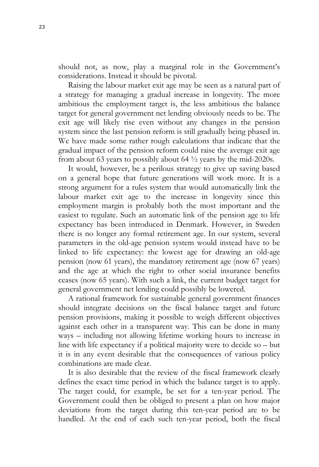should not, as now, play a marginal role in the Government's considerations. Instead it should be pivotal.

Raising the labour market exit age may be seen as a natural part of a strategy for managing a gradual increase in longevity. The more ambitious the employment target is, the less ambitious the balance target for general government net lending obviously needs to be. The exit age will likely rise even without any changes in the pension system since the last pension reform is still gradually being phased in. We have made some rather rough calculations that indicate that the gradual impact of the pension reform could raise the average exit age from about 63 years to possibly about 64  $\frac{1}{2}$  years by the mid-2020s.

It would, however, be a perilous strategy to give up saving based on a general hope that future generations will work more. It is a strong argument for a rules system that would automatically link the labour market exit age to the increase in longevity since this employment margin is probably both the most important and the easiest to regulate. Such an automatic link of the pension age to life expectancy has been introduced in Denmark. However, in Sweden there is no longer any formal retirement age. In our system, several parameters in the old-age pension system would instead have to be linked to life expectancy: the lowest age for drawing an old-age pension (now 61 years), the mandatory retirement age (now 67 years) and the age at which the right to other social insurance benefits ceases (now 65 years). With such a link, the current budget target for general government net lending could possibly be lowered.

A rational framework for sustainable general government finances should integrate decisions on the fiscal balance target and future pension provisions, making it possible to weigh different objectives against each other in a transparent way. This can be done in many ways – including not allowing lifetime working hours to increase in line with life expectancy if a political majority were to decide so – but it is in any event desirable that the consequences of various policy combinations are made clear.

It is also desirable that the review of the fiscal framework clearly defines the exact time period in which the balance target is to apply. The target could, for example, be set for a ten-year period. The Government could then be obliged to present a plan on how major deviations from the target during this ten-year period are to be handled. At the end of each such ten-year period, both the fiscal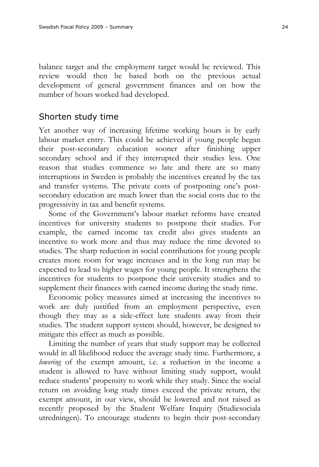balance target and the employment target would be reviewed. This review would then be based both on the previous actual development of general government finances and on how the number of hours worked had developed.

## Shorten study time

Yet another way of increasing lifetime working hours is by early labour market entry. This could be achieved if young people began their post-secondary education sooner after finishing upper secondary school and if they interrupted their studies less. One reason that studies commence so late and there are so many interruptions in Sweden is probably the incentives created by the tax and transfer systems. The private costs of postponing one's postsecondary education are much lower than the social costs due to the progressivity in tax and benefit systems.

Some of the Government's labour market reforms have created incentives for university students to postpone their studies. For example, the earned income tax credit also gives students an incentive to work more and thus may reduce the time devoted to studies. The sharp reduction in social contributions for young people creates more room for wage increases and in the long run may be expected to lead to higher wages for young people. It strengthens the incentives for students to postpone their university studies and to supplement their finances with earned income during the study time.

Economic policy measures aimed at increasing the incentives to work are duly justified from an employment perspective, even though they may as a side-effect lure students away from their studies. The student support system should, however, be designed to mitigate this effect as much as possible.

Limiting the number of years that study support may be collected would in all likelihood reduce the average study time. Furthermore, a *lowering* of the exempt amount, *i.e.* a reduction in the income a student is allowed to have without limiting study support, would reduce students' propensity to work while they study. Since the social return on avoiding long study times exceed the private return, the exempt amount, in our view, should be lowered and not raised as recently proposed by the Student Welfare Inquiry (Studiesociala utredningen). To encourage students to begin their post-secondary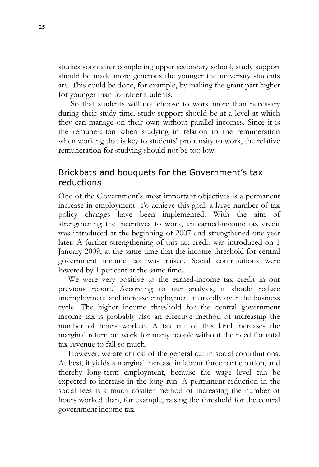studies soon after completing upper secondary school, study support should be made more generous the younger the university students are. This could be done, for example, by making the grant part higher for younger than for older students.

So that students will not choose to work more than necessary during their study time, study support should be at a level at which they can manage on their own without parallel incomes. Since it is the remuneration when studying in relation to the remuneration when working that is key to students' propensity to work, the relative remuneration for studying should not be too low.

# Brickbats and bouquets for the Government's tax reductions

One of the Government's most important objectives is a permanent increase in employment. To achieve this goal, a large number of tax policy changes have been implemented. With the aim of strengthening the incentives to work, an earned-income tax credit was introduced at the beginning of 2007 and strengthened one year later. A further strengthening of this tax credit was introduced on 1 January 2009, at the same time that the income threshold for central government income tax was raised. Social contributions were lowered by 1 per cent at the same time.

We were very positive to the earned-income tax credit in our previous report. According to our analysis, it should reduce unemployment and increase employment markedly over the business cycle. The higher income threshold for the central government income tax is probably also an effective method of increasing the number of hours worked. A tax cut of this kind increases the marginal return on work for many people without the need for total tax revenue to fall so much.

However, we are critical of the general cut in social contributions. At best, it yields a marginal increase in labour force participation, and thereby long-term employment, because the wage level can be expected to increase in the long run. A permanent reduction in the social fees is a much costlier method of increasing the number of hours worked than, for example, raising the threshold for the central government income tax.